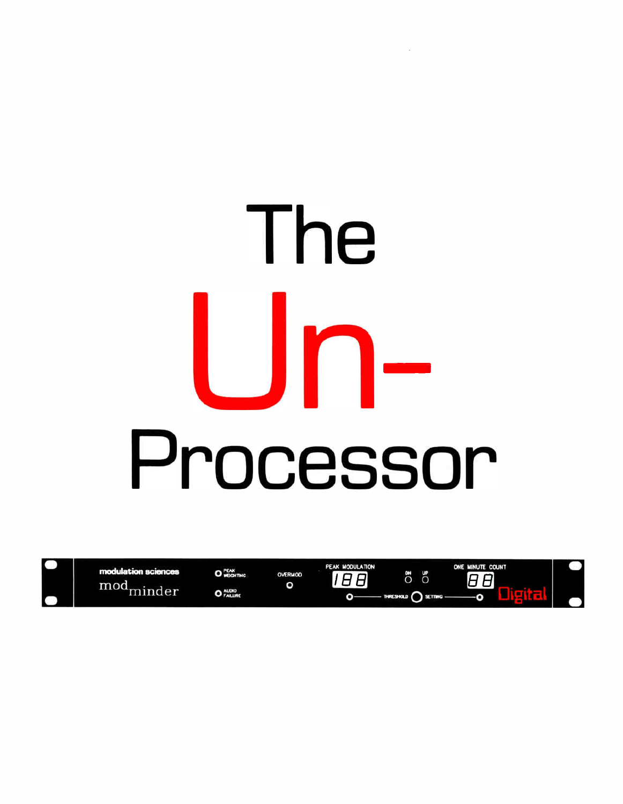# The Un-Processor

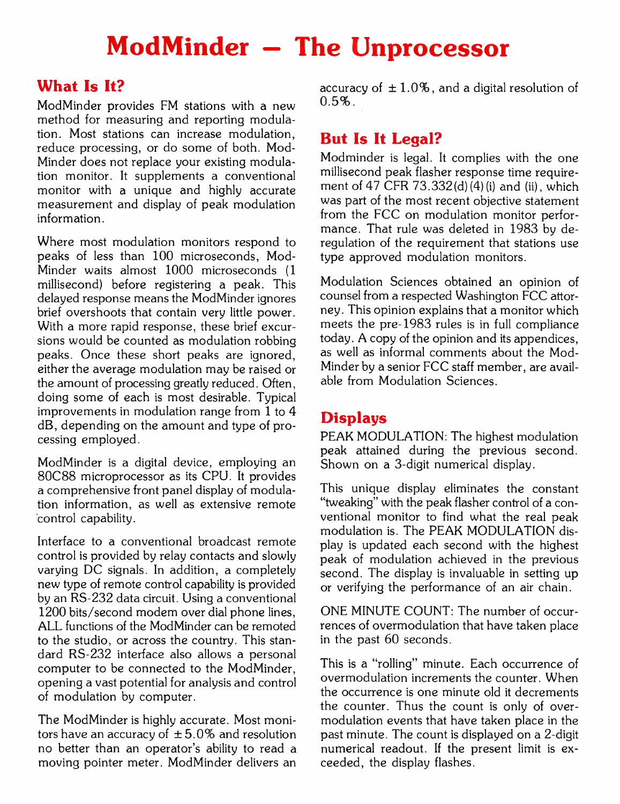## ModMinder — The Unprocessor

## What Is It?

ModMinder provides FM stations with a new method for measuring and reporting modulation. Most stations can increase modulation, reduce processing, or do some of both. Mod-Minder does not replace your existing modulation monitor. It supplements a conventional monitor with a unique and highly accurate measurement and display of peak modulation information.

Where most modulation monitors respond to peaks of less than 100 microseconds, Mod-Minder waits almost 1000 microseconds (1 millisecond) before registering a peak. This delayed response means the ModMinder ignores brief overshoots that contain very little power. With a more rapid response, these brief excursions would be counted as modulation robbing peaks. Once these short peaks are ignored, either the average modulation may be raised or the amount of processing greatly reduced. Often, doing some of each is most desirable. Typical improvements in modulation range from 1 to 4 dB, depending on the amount and type of processing employed.

ModMinder is a digital device, employing an 80C88 microprocessor as its CPU. It provides a comprehensive front panel display of modulation information, as well as extensive remote control capability.

Interface to a conventional broadcast remote control is provided by relay contacts and slowly varying DC signals. In addition, a completely new type of remote control capability is provided by an RS-232 data circuit. Using a conventional 1200 bits/second modem over dial phone lines, ALL functions of the ModMinder can be remoted to the studio, or across the country. This standard RS-232 interface also allows a personal computer to be connected to the ModMinder, opening a vast potential for analysis and control of modulation by computer.

The ModMinder is highly accurate. Most monitors have an accuracy of  $\pm 5.0\%$  and resolution no better than an operator's ability to read a moving pointer meter. ModMinder delivers an

accuracy of  $\pm 1.0\%$ , and a digital resolution of 0.5%.

## But Is It Legal?

Modminder is legal. It complies with the one millisecond peak flasher response time requirement of 47 CFR 73.332(d) (4) (i) and (ii) , which was part of the most recent objective statement from the FCC on modulation monitor performance. That rule was deleted in 1983 by deregulation of the requirement that stations use type approved modulation monitors.

Modulation Sciences obtained an opinion of counsel from a respected Washington FCC attorney. This opinion explains that a monitor which meets the pre-1983 rules is in full compliance today. A copy of the opinion and its appendices, as well as informal comments about the Mod-Minder by a senior FCC staff member, are available from Modulation Sciences.

## Displays

PEAK MODULATION: The highest modulation peak attained during the previous second. Shown on a 3-digit numerical display.

This unique display eliminates the constant "tweaking" with the peak flasher control of a conventional monitor to find what the real peak modulation is. The PEAK MODULATION display is updated each second with the highest peak of modulation achieved in the previous second. The display is invaluable in setting up or verifying the performance of an air chain.

ONE MINUTE COUNT: The number of occurrences of overmodulation that have taken place in the past 60 seconds.

This is a "rolling" minute. Each occurrence of overmodulation increments the counter. When the occurrence is one minute old it decrements the counter. Thus the count is only of overmodulation events that have taken place in the past minute. The count is displayed on a 2-digit numerical readout. If the present limit is exceeded, the display flashes.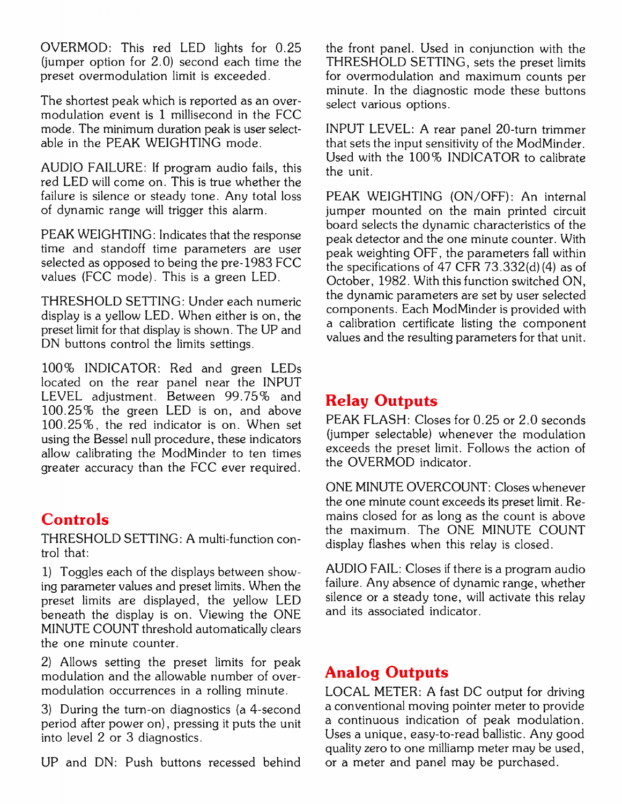OVERMOD: This red LED lights for 0.25 (jumper option for 2.0) second each time the preset overmodulation limit is exceeded.

The shortest peak which is reported as an overmodulation event is 1 millisecond in the FCC mode. The minimum duration peak is user selectable in the PEAK WEIGHTING mode.

AUDIO FAILURE: If program audio fails, this red LED will come on. This is true whether the failure is silence or steady tone. Any total loss of dynamic range will trigger this alarm.

PEAK WEIGHTING: Indicates that the response time and standoff time parameters are user selected as opposed to being the pre-1983 FCC values (FCC mode). This is a green LED.

THRESHOLD SETTING: Under each numeric display is a yellow LED. When either is on, the preset limit for that display is shown. The UP and DN buttons control the limits settings.

100% INDICATOR: Red and green LEDs located on the rear panel near the INPUT LEVEL adjustment. Between 99.75% and 100.25% the green LED is on, and above 100.25%, the red indicator is on. When set using the Bessel null procedure, these indicators allow calibrating the ModMinder to ten times greater accuracy than the FCC ever required.

## Controls

THRESHOLD SETTING: A multi-function control that:

1) Toggles each of the displays between showing parameter values and preset limits. When the preset limits are displayed, the yellow LED beneath the display is on. Viewing the ONE MINUTE COUNT threshold automatically clears the one minute counter.

2) Allows setting the preset limits for peak modulation and the allowable number of overmodulation occurrences in a rolling minute.

3) During the turn-on diagnostics (a 4-second period after power on), pressing it puts the unit into level 2 or 3 diagnostics.

UP and DN: Push buttons recessed behind

the front panel. Used in conjunction with the THRESHOLD SETTING, sets the preset limits for overmodulation and maximum counts per minute. In the diagnostic mode these buttons select various options.

INPUT LEVEL: A rear panel 20-turn trimmer that sets the input sensitivity of the ModMinder. Used with the 100% INDICATOR to calibrate the unit.

PEAK WEIGHTING (ON/OFF): An internal jumper mounted on the main printed circuit board selects the dynamic characteristics of the peak detector and the one minute counter. With peak weighting OFF, the parameters fall within the specifications of 47 CFR 73.332(d) (4) as of October, 1982. With this function switched ON, the dynamic parameters are set by user selected components. Each ModMinder is provided with a calibration certificate listing the component values and the resulting parameters for that unit.

### Relay Outputs

PEAK FLASH: Closes for 0.25 or 2.0 seconds (jumper selectable) whenever the modulation exceeds the preset limit. Follows the action of the OVERMOD indicator.

ONE MINUTE OVERCOUNT: Closes whenever the one minute count exceeds its preset limit. Remains closed for as long as the count is above the maximum. The ONE MINUTE COUNT display flashes when this relay is closed.

AUDIO FAIL: Closes if there is a program audio failure. Any absence of dynamic range, whether silence or a steady tone, will activate this relay and its associated indicator.

## Analog Outputs

LOCAL METER: A fast DC output for driving a conventional moving pointer meter to provide a continuous indication of peak modulation. Uses a unique, easy-to-read ballistic. Any good quality zero to one milliamp meter may be used, or a meter and panel may be purchased.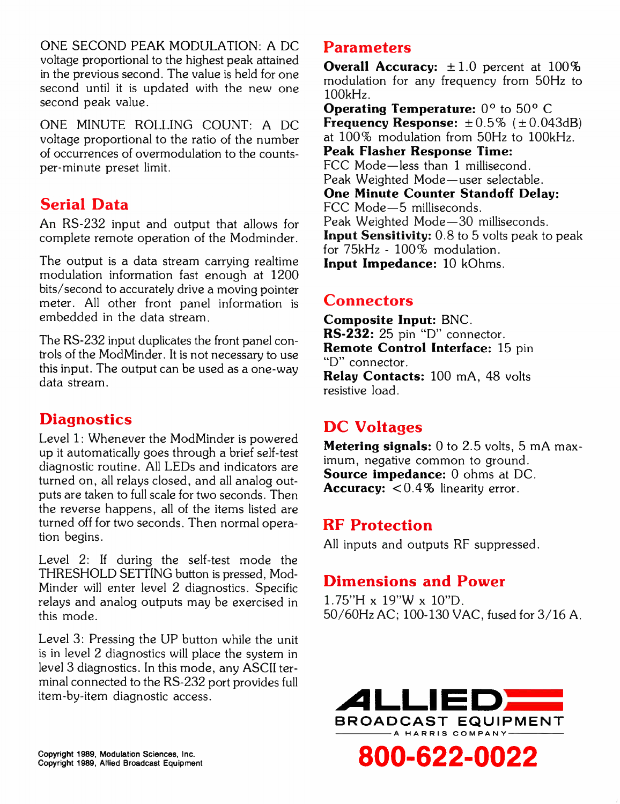ONE SECOND PEAK MODULATION: A DC voltage proportional to the highest peak attained in the previous second. The value is held for one second until it is updated with the new one second peak value.

ONE MINUTE ROLLING COUNT: A DC voltage proportional to the ratio of the number of occurrences of overmodulation to the countsper-minute preset limit.

## Serial Data

An RS-232 input and output that allows for complete remote operation of the Modminder.

The output is a data stream carrying realtime modulation information fast enough at 1200 bits/second to accurately drive a moving pointer meter. All other front panel information is embedded in the data stream.

The RS-232 input duplicates the front panel controls of the ModMinder. It is not necessary to use this input. The output can be used as a one-way data stream.

## **Diagnostics**

Level 1: Whenever the ModMinder is powered up it automatically goes through a brief self-test diagnostic routine. All LEDs and indicators are turned on, all relays closed, and all analog outputs are taken to full scale for two seconds. Then the reverse happens, all of the items listed are turned off for two seconds. Then normal operation begins.

Level 2: If during the self-test mode the THRESHOLD SETTING button is pressed, Mod-Minder will enter level 2 diagnostics. Specific relays and analog outputs may be exercised in this mode.

Level 3: Pressing the UP button while the unit is in level 2 diagnostics will place the system in level 3 diagnostics. In this mode, any ASCII terminal connected to the RS-232 port provides full item-by-item diagnostic access.

## Parameters

**Overall Accuracy:**  $\pm 1.0$  percent at  $100\%$ modulation for any frequency from 50Hz to 100kHz.

**Operating Temperature:** 0<sup>°</sup> to 50<sup>°</sup> C Frequency Response:  $\pm 0.5\%$  ( $\pm 0.043$ dB) at 100% modulation from 50Hz to 100kHz. Peak Flasher Response Time: FCC Mode—less than 1 millisecond. Peak Weighted Mode—user selectable. One Minute Counter Standoff Delay: FCC Mode-5 milliseconds. Peak Weighted Mode-30 milliseconds. Input Sensitivity: 0.8 to 5 volts peak to peak for 75kHz - 100% modulation. Input Impedance: 10 kOhms.

## Connectors

Composite Input: BNC. RS-232: 25 pin "D" connector. Remote Control Interface: 15 pin "D" connector. Relay Contacts: 100 mA, 48 volts resistive load.

## DC Voltages

Metering signals: 0 to 2.5 volts, 5 mA maximum, negative common to ground. Source impedance: 0 ohms at DC. Accuracy: <0.4% linearity error.

## RF Protection

All inputs and outputs RF suppressed.

## Dimensions and Power

1.75"H x 19"W x 10"D. 50/60Hz AC; 100-130 VAC, fused for 3/16 A.

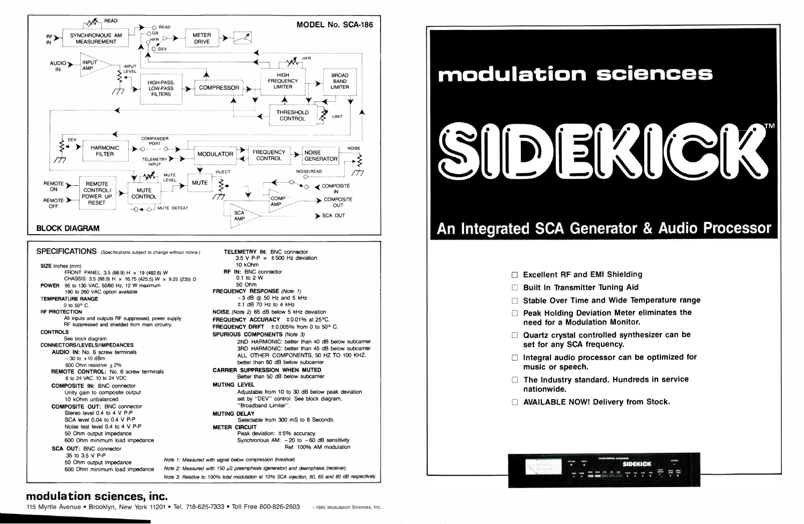

SPECIFICATIONS (Specifications subject to change without notice.) SIZE Inches (mm) FRONT PANEL: 3.5 (88.9) H x 19 (482.6) W CHASSIS: 3.5 (88.9) H  $\times$  16.75 (425.5) W  $\times$  9.25 (235) D POWER 95 to 130 VAC, 50/60 Hz, 12 W maximum 190 to 260 VAC option available TEMPERATURE RANGE 0 to 50° C. RF PROTECTION All inputs and outputs RF suppressed, power supply RF suppressed and shielded from main circuitry. **CONTROLS** See block diagram CONNECTORS/LEVELS/IMPEDANCES AUDIO IN: No. 6 screw terminals  $-30$  to  $+10$  dBm 600 Ohm resistive  $\pm 2\%$ REMOTE CONTROL: No. 6 screw terminals 6 to 24 VAC, 10 to 24 VDC COMPOSITE IN: BNC connector Unity gain to composite output 10 kOhm unbalanced COMPOSITE OUT: BNC connector Stereo level 0.4 to 4 V P-P SCA level 0.04 to 0.4 V P-P Noise test level 0.4 to 4 V P-P 50 Ohm output impedance 600 Ohm minimum load impedance SCA OUT: BNC connector .35 to 3.5 V P-P 50 Ohm output impedance 600 Ohm minimum load impedance TELEMETRY IN: BNC connector  $3.5 \text{ V } \text{P-P} = \pm 500 \text{ Hz}$  deviation 10 kOhm RF IN: BNC connector 0.1 to 2 W 50 Ohm FREQUENCY RESPONSE (Note 1)  $-3$  dB  $\omega$  50 Hz and 5 kHz ± I dB 70 Hz to 4 kHz NOISE (Note 2) 65 dB below 5 kHz deviation FREQUENCY ACCURACY  $\pm 0.01\%$  at 25°C. FREQUENCY DRIFT  $\pm 0.005\%$  from 0 to 50° C. SPURIOUS COMPONENTS (Note 3) 2ND HARMONIC: better than 40 dB below subcarrier 3RD HARMONIC: better than 45 dB below subcarrier ALL OTHER COMPONENTS, 50 HZ TO 100 KHZ: better than 60 dB below subcarrier CARRIER SUPPRESSION WHEN MUTED Better than 50 dB below subcarrier MUTING LEVEL Adjustable from 10 to 30 dB below peak deviation set by "DEV" control. See block diagram, "Broadband Limiter". MUTING DELAY Selectable from 300 mS to 6 Seconds. METER CIRCUIT Peak deviation: ± 5% accuracy Synchronous AM:  $-20$  to  $-60$  dB sensitivity Ref. 100% AM modulation Note 1: Measured with signal below compression threshold. Note 2: Measured with 150  $\mu$ S preemphasis (generator) and deemphasis (receiver). Note 3: Relative to 100% total modulation at 10% SCA injection; 60, 65 and 80 dB respective/y.

- **Built In Transmitter Tuning Aid**
- 
- $\Box$  Peak Holding Deviation Meter eliminates the need for a Modulation Monitor.
- $\Box$  Quartz crystal controlled synthesizer can be set for any SCA frequency.
- $\Box$  Integral audio processor can be optimized for music or speech.
- $\Box$  The Industry standard. Hundreds in service nationwide.
- **NAILABLE NOW! Delivery from Stock.**

## modulation sciences

ERIC

## An Integrated SCA Generator & Audio Processor

- $\Box$  Excellent RF and EMI Shielding
	-
- $\Box$  Stable Over Time and Wide Temperature range



## modulation sciences, inc.

115 Myrtle Avenue • Brooklyn, New York 11201 • Tel. 718-625-7333 • Toll Free 800-826-2603 @1985 Modulation Sciences, Inc.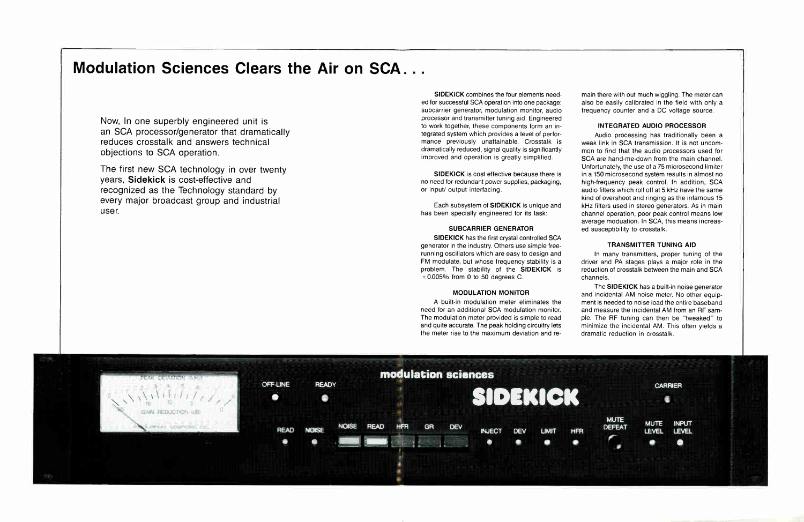## Modulation Sciences Clears the Air on SCA...

Now, In one superbly engineered unit is an SCA processor/generator that dramatically reduces crosstalk and answers technical objections to SCA operation.

The first new SCA technology in over twenty years, Sidekick is cost-effective and recognized as the Technology standard by every major broadcast group and industrial user.

> SIDEKICK has the first crystal controlled SCA generator in the industry. Others use simple freerunning oscillators which are easy to design and FM modulate, but whose frequency stability is a problem. The stability of the SIDEKICK is  $\pm$  0.005% from 0 to 50 degrees C.

> SIDEKICK combines the four elements needed for successful SCA operation into one package: subcarrier generator, modulation monitor, audio processor and transmitter tuning aid. Engineered to work together, these components form an integrated system which provides a level of performance previously unattainable. Crosstalk is dramatically reduced, signal quality is significantly improved and operation is greatly simplified.

SIDEKICK is cost effective because there is no need for redundant power supplies, packaging, or input/ output interfacing.

Each subsystem of SIDEKICK is unique and has been specially engineered for its task:

#### SUBCARRIER GENERATOR

MODULATION MONITOR

The SIDEKICK has a built-in noise generator and incidental AM noise meter. No other equipment is needed to noise load the entire baseband and measure the incidental AM from an RF sample. The RF tuning can then be "tweaked" to minimize the incidental AM. This often yields a dramatic reduction in crosstalk.

A built-in modulation meter eliminates the need for an additional SCA modulation monitor. The modulation meter provided is simple to read and quite accurate. The peak holding circuitry lets the meter rise to the maximum deviation and re-



main there with out much wiggling. The meter can also be easily calibrated in the field with only a frequency counter and a DC voltage source.

#### INTEGRATED AUDIO PROCESSOR

Audio processing has traditionally been a weak link in SCA transmission. It is not uncommon to find that the audio processors used for SCA are hand-me-down from the main channel. Unfortunately, the use of a 75 microsecond limiter in a 150 microsecond system results in almost no high-frequency peak control. In addition, SCA audio filters which roll off at 5 kHz have the same kind of overshoot and ringing as the infamous 15 kHz filters used in stereo generators. As in main channel operation, poor peak control means low average moduation. In SCA, this means increased susceptibility to crosstalk.

#### TRANSMITTER TUNING AID

In many transmitters, proper tuning of the driver and PA stages plays a major role in the reduction of crosstalk between the main and SCA channels.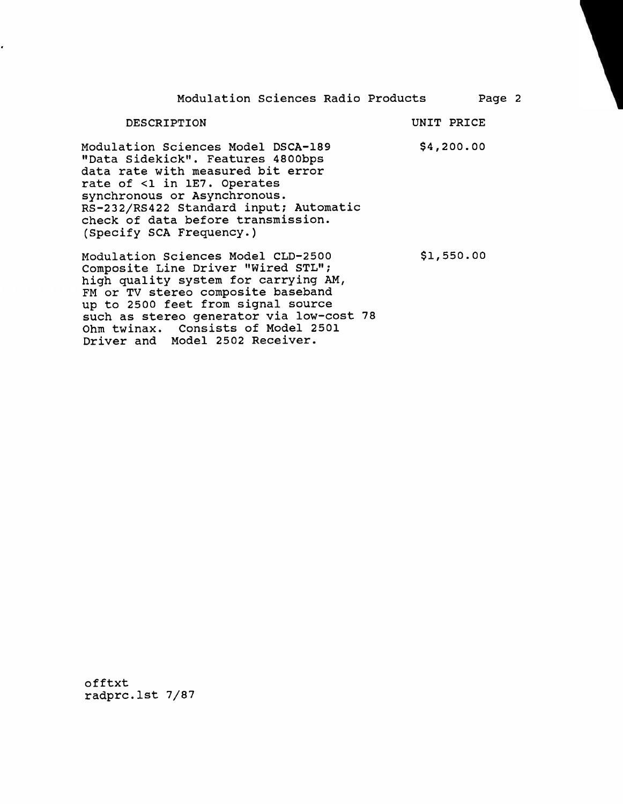|  | Modulation Sciences Radio Products |  |  |  |
|--|------------------------------------|--|--|--|
|--|------------------------------------|--|--|--|

#### DESCRIPTION UNIT PRICE

Modulation Sciences Model DSCA-189 "Data Sidekick". Features 4800bps data rate with measured bit error rate of <1 in 1E7. Operates synchronous or Asynchronous. RS-232/RS422 Standard input; Automatic check of data before transmission. (Specify SCA Frequency.) \$4,200.00

Modulation Sciences Model CLD-2500 Composite Line Driver "Wired STL"; high quality system for carrying AM, FM or TV stereo composite baseband up to 2500 feet from signal source such as stereo generator via low-cost 78 Ohm twinax. Consists of Model 2501 Driver and Model 2502 Receiver. \$1,550.00

offtxt radprc.lst 7/87 Page 2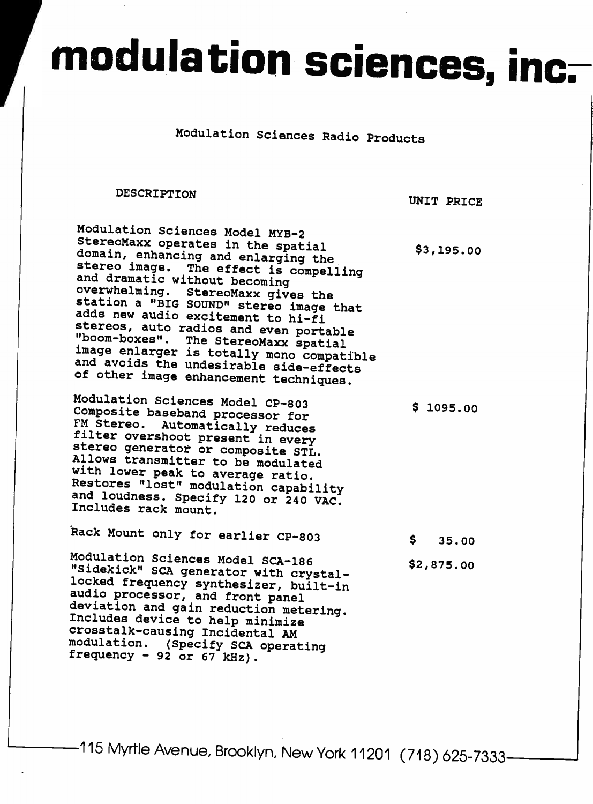## modulation sciences, inc.

Modulation Sciences Radio Products

DESCRIPTION

UNIT PRICE

Modulation Sciences Model MYB-2 StereoMaxx operates in the spatial domain, enhancing and enlarging the stereo image. The effect is compelling and dramatic without becoming overwhelming. StereoMaxx gives the station a "BIG SOUND" stereo image that adds new audio excitement to hi-fi stereos, auto radios and even portable "boom-boxes". The StereoMaxx spatial image enlarger is totally mono compatible and avoids the undesirable side-effects of other image enhancement techniques. \$3,195.00

Modulation Sciences Model CP-803 Composite baseband processor for FM Stereo. Automatically reduces filter overshoot present in every stereo generator or composite STL. Allows transmitter to be modulated with lower peak to average ratio. Restores "lost" modulation capability and loudness. Specify 120 or 240 VAC. Includes rack mount. \$ 1095.00

Rack Mount only for earlier CP-803 \$ 35.00

Modulation Sciences Model SCA-186 \$2,875.00 "Sidekick" SCA generator with crystallocked frequency synthesizer, built-in audio processor, and front panel deviation and gain reduction metering. Includes device to help minimize crosstalk-causing Incidental AM modulation. (Specify SCA operating frequency - 92 or 67 kHz).

115 Myrtle Avenue, Brooklyn, New York 11201 (718) 625-7333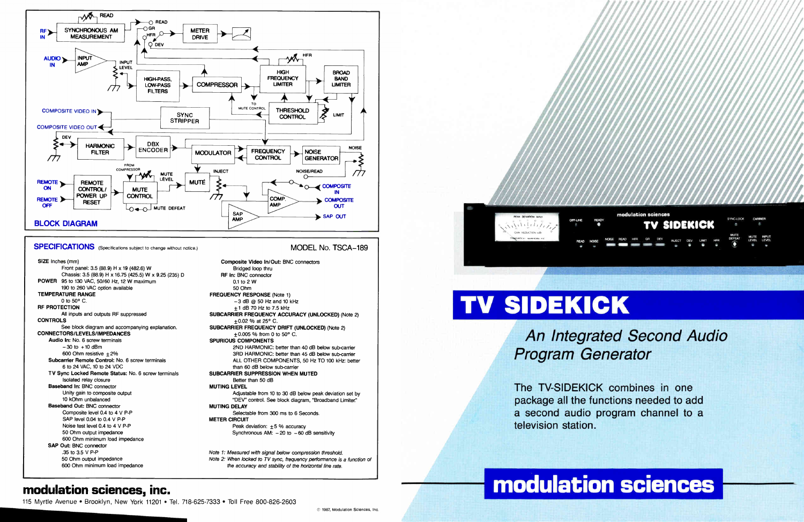

## **SPECIFICATIONS** (Specifications subject to change without notice.)

SIZE Inches (mm) Front panel: 3.5 (88.9) H x 19 (482.6) W Chassis: 3.5 (88.9) H x 16.75 (425.5) W x 9.25 (235) D **POWER** 95 to 130 VAC, 50/60 Hz, 12 W maximum 190 to 260 VAC option available **TEMPERATURE RANGE** 0 to 50° C. **RF PROTECTION** All inputs and outputs RF suppressed **CONTROLS** See block diagram and accompanying explanation. **CONNECTORS/LEVELS/IMPEDANCES** Audio In: No. 6 screw terminals  $-30$  to  $+10$  dBm 600 Ohm resistive +2% Subcarrier Remote Control: No. 6 screw terminals 6 to 24 VAC, 10 to 24 VDC TV Sync Locked Remote Status: No. 6 screw terminals Isolated relay closure **Baseband In: BNC connector** Unity gain to composite output 10 kOhm unbalanced **Baseband Out: BNC connector** Composite level 0.4 to 4 V P-P SAP level 0.04 to 0.4 V P-P Noise test level 0.4 to 4 V P-P 50 Ohm output impedance 600 Ohm minimum load impedance **SAP Out: BNC connector** .35 to 3.5 V P-P 50 Ohm output impedance 600 Ohm minimum load impedance

#### MODEL No. TSCA-189 Composite Video In/Out: BNC connectors Bridged loop thru RF In: BNC connector 0.1 to 2 W 50 Ohm **FREQUENCY RESPONSE (Note 1)**  $-3$  dB  $\omega$  50 Hz and 10 kHz  $±1$  dB 70 Hz to 7.5 kHz SUBCARRIER FREQUENCY ACCURACY (UNLOCKED) (Note 2)  $±0.02$  % at 25° C. SUBCARRIER FREQUENCY DRIFT (UNLOCKED) (Note 2)  $\pm$  0.005 % from 0 to 50° C. **SPURIOUS COMPONENTS** 2ND HARMONIC: better than 40 dB below sub-carrier 3RD HARMONIC: better than 45 dB below sub-carrier ALL OTHER COMPONENTS, 50 Hz TO 100 kHz; better than 60 dB below sub-carrier SUBCARRIER SUPPRESSION WHEN MUTED Better than 50 dB **MUTING LEVEL** Adjustable from 10 to 30 dB below peak deviation set by "DEV" control. See block diagram, "Broadband Limiter." **MUTING DELAY** Selectable from 300 ms to 6 Seconds. **METER CIRCUIT** Peak deviation:  $±5%$  accuracy Synchronous AM:  $-20$  to  $-60$  dB sensitivity Note 1: Measured with signal below compression threshold.

Note 2: When locked to TV sync, frequency performance is a function of the accuracy and stability of the horizontal line rate.



## TV SIDEKICK

**Program Generator** 

The TV-SIDEKICK combines in one package all the functions needed to add a second audio program channel to a television station.

## modulation sciences, inc.

115 Myrtle Avenue . Brooklyn, New York 11201 . Tel. 718-625-7333 . Toll Free 800-826-2603



## **An Integrated Second Audio**

## **modulation sciences**